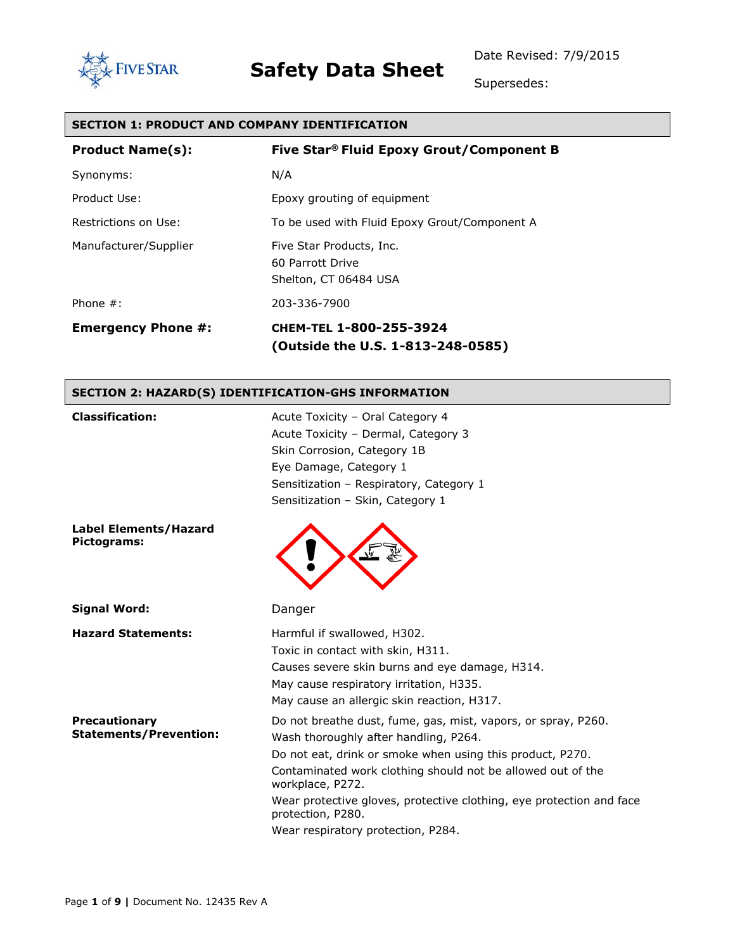Date Revised: 7/9/2015



## **Safety Data Sheet**

Supersedes:

### **SECTION 1: PRODUCT AND COMPANY IDENTIFICATION**

| <b>Product Name(s):</b>   | Five Star® Fluid Epoxy Grout/Component B                              |
|---------------------------|-----------------------------------------------------------------------|
| Synonyms:                 | N/A                                                                   |
| Product Use:              | Epoxy grouting of equipment                                           |
| Restrictions on Use:      | To be used with Fluid Epoxy Grout/Component A                         |
| Manufacturer/Supplier     | Five Star Products, Inc.<br>60 Parrott Drive<br>Shelton, CT 06484 USA |
| Phone $#$ :               | 203-336-7900                                                          |
| <b>Emergency Phone #:</b> | CHEM-TEL 1-800-255-3924<br>(Outside the U.S. 1-813-248-0585)          |

### **SECTION 2: HAZARD(S) IDENTIFICATION-GHS INFORMATION**

| <b>Classification:</b>                                | Acute Toxicity - Oral Category 4                                                                                                                                                                            |
|-------------------------------------------------------|-------------------------------------------------------------------------------------------------------------------------------------------------------------------------------------------------------------|
|                                                       | Acute Toxicity - Dermal, Category 3                                                                                                                                                                         |
|                                                       | Skin Corrosion, Category 1B                                                                                                                                                                                 |
|                                                       | Eye Damage, Category 1                                                                                                                                                                                      |
|                                                       | Sensitization - Respiratory, Category 1                                                                                                                                                                     |
|                                                       | Sensitization - Skin, Category 1                                                                                                                                                                            |
| <b>Label Elements/Hazard</b><br>Pictograms:           |                                                                                                                                                                                                             |
| <b>Signal Word:</b>                                   | Danger                                                                                                                                                                                                      |
| <b>Hazard Statements:</b>                             | Harmful if swallowed, H302.<br>Toxic in contact with skin, H311.<br>Causes severe skin burns and eye damage, H314.<br>May cause respiratory irritation, H335.<br>May cause an allergic skin reaction, H317. |
| <b>Precautionary</b><br><b>Statements/Prevention:</b> | Do not breathe dust, fume, gas, mist, vapors, or spray, P260.<br>Wash thoroughly after handling, P264.<br>Do not eat, drink or smoke when using this product, P270.                                         |
|                                                       | Contaminated work clothing should not be allowed out of the<br>workplace, P272.                                                                                                                             |
|                                                       | Wear protective gloves, protective clothing, eye protection and face<br>protection, P280.                                                                                                                   |
|                                                       | Wear respiratory protection, P284.                                                                                                                                                                          |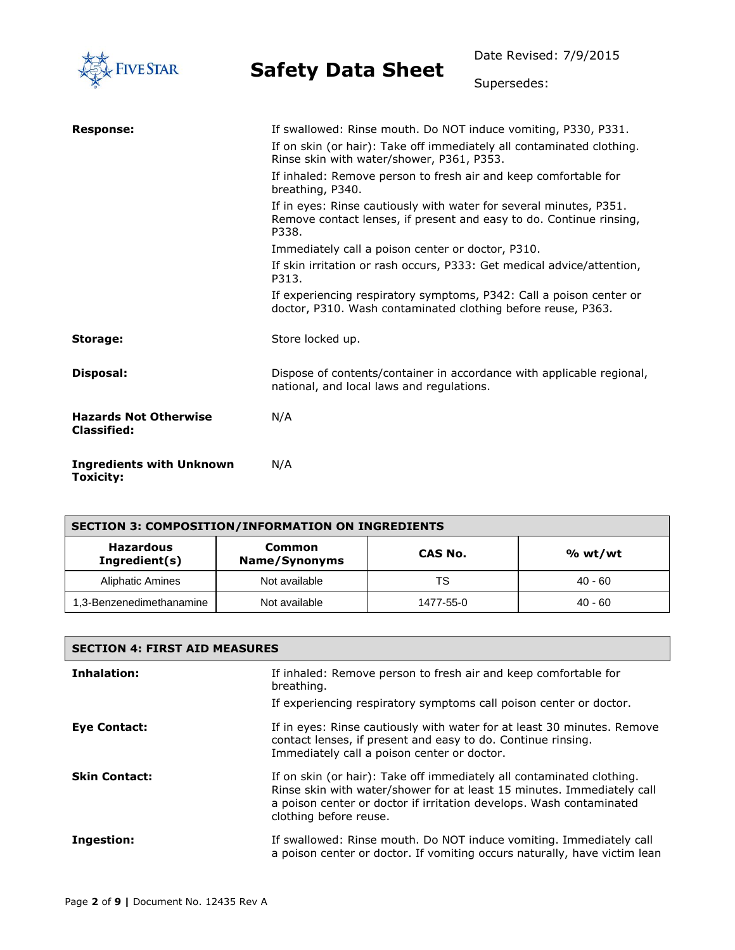

Date Revised: 7/9/2015

Supersedes:

| <b>Response:</b>                                   | If swallowed: Rinse mouth. Do NOT induce vomiting, P330, P331.                                                                                     |
|----------------------------------------------------|----------------------------------------------------------------------------------------------------------------------------------------------------|
|                                                    | If on skin (or hair): Take off immediately all contaminated clothing.<br>Rinse skin with water/shower, P361, P353.                                 |
|                                                    | If inhaled: Remove person to fresh air and keep comfortable for<br>breathing, P340.                                                                |
|                                                    | If in eyes: Rinse cautiously with water for several minutes, P351.<br>Remove contact lenses, if present and easy to do. Continue rinsing,<br>P338. |
|                                                    | Immediately call a poison center or doctor, P310.                                                                                                  |
|                                                    | If skin irritation or rash occurs, P333: Get medical advice/attention,<br>P313.                                                                    |
|                                                    | If experiencing respiratory symptoms, P342: Call a poison center or<br>doctor, P310. Wash contaminated clothing before reuse, P363.                |
| Storage:                                           | Store locked up.                                                                                                                                   |
| Disposal:                                          | Dispose of contents/container in accordance with applicable regional,<br>national, and local laws and regulations.                                 |
| <b>Hazards Not Otherwise</b><br><b>Classified:</b> | N/A                                                                                                                                                |
| <b>Ingredients with Unknown</b><br>Toxicity:       | N/A                                                                                                                                                |

| <b>SECTION 3: COMPOSITION/INFORMATION ON INGREDIENTS</b> |                         |           |           |
|----------------------------------------------------------|-------------------------|-----------|-----------|
| <b>Hazardous</b><br>Ingredient(s)                        | Common<br>Name/Synonyms | CAS No.   | % wt/wt   |
| <b>Aliphatic Amines</b>                                  | Not available           | TS        | $40 - 60$ |
| 1,3-Benzenedimethanamine                                 | Not available           | 1477-55-0 | $40 - 60$ |

| <b>SECTION 4: FIRST AID MEASURES</b> |                                                                                                                                                                                                                                                  |  |
|--------------------------------------|--------------------------------------------------------------------------------------------------------------------------------------------------------------------------------------------------------------------------------------------------|--|
| Inhalation:                          | If inhaled: Remove person to fresh air and keep comfortable for<br>breathing.                                                                                                                                                                    |  |
|                                      | If experiencing respiratory symptoms call poison center or doctor.                                                                                                                                                                               |  |
| Eye Contact:                         | If in eyes: Rinse cautiously with water for at least 30 minutes. Remove<br>contact lenses, if present and easy to do. Continue rinsing.<br>Immediately call a poison center or doctor.                                                           |  |
| <b>Skin Contact:</b>                 | If on skin (or hair): Take off immediately all contaminated clothing.<br>Rinse skin with water/shower for at least 15 minutes. Immediately call<br>a poison center or doctor if irritation develops. Wash contaminated<br>clothing before reuse. |  |
| Ingestion:                           | If swallowed: Rinse mouth. Do NOT induce vomiting. Immediately call<br>a poison center or doctor. If vomiting occurs naturally, have victim lean                                                                                                 |  |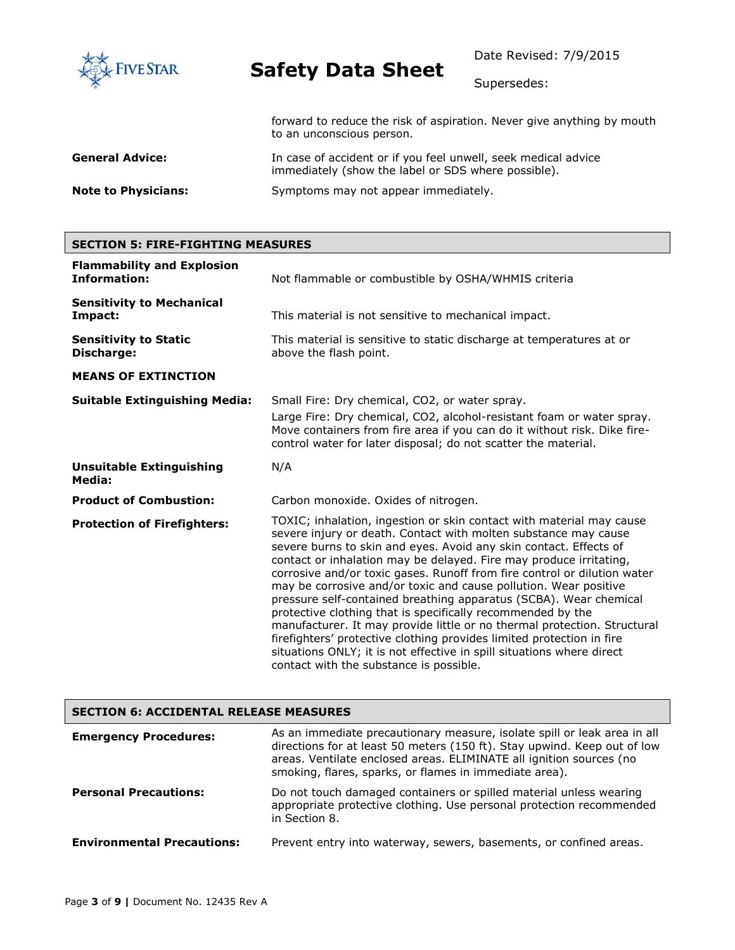

Date Revised: 7/9/2015

Supersedes:

forward to reduce the risk of aspiration. Never give anything by mouth to an unconscious person.

| <b>General Advice:</b>     | In case of accident or if you feel unwell, seek medical advice<br>immediately (show the label or SDS where possible). |
|----------------------------|-----------------------------------------------------------------------------------------------------------------------|
| <b>Note to Physicians:</b> | Symptoms may not appear immediately.                                                                                  |

### **SECTION 5: FIRE-FIGHTING MEASURES**

| <b>Flammability and Explosion</b><br><b>Information:</b> | Not flammable or combustible by OSHA/WHMIS criteria                                                                                                                                                                                                                                                                                                                                                                                                                                                                                                                                                                                                                                                                                                                                                                                             |  |
|----------------------------------------------------------|-------------------------------------------------------------------------------------------------------------------------------------------------------------------------------------------------------------------------------------------------------------------------------------------------------------------------------------------------------------------------------------------------------------------------------------------------------------------------------------------------------------------------------------------------------------------------------------------------------------------------------------------------------------------------------------------------------------------------------------------------------------------------------------------------------------------------------------------------|--|
| <b>Sensitivity to Mechanical</b><br>Impact:              | This material is not sensitive to mechanical impact.                                                                                                                                                                                                                                                                                                                                                                                                                                                                                                                                                                                                                                                                                                                                                                                            |  |
| <b>Sensitivity to Static</b><br>Discharge:               | This material is sensitive to static discharge at temperatures at or<br>above the flash point.                                                                                                                                                                                                                                                                                                                                                                                                                                                                                                                                                                                                                                                                                                                                                  |  |
| <b>MEANS OF EXTINCTION</b>                               |                                                                                                                                                                                                                                                                                                                                                                                                                                                                                                                                                                                                                                                                                                                                                                                                                                                 |  |
| <b>Suitable Extinguishing Media:</b>                     | Small Fire: Dry chemical, CO2, or water spray.<br>Large Fire: Dry chemical, CO2, alcohol-resistant foam or water spray.<br>Move containers from fire area if you can do it without risk. Dike fire-<br>control water for later disposal; do not scatter the material.                                                                                                                                                                                                                                                                                                                                                                                                                                                                                                                                                                           |  |
| <b>Unsuitable Extinguishing</b><br>Media:                | N/A                                                                                                                                                                                                                                                                                                                                                                                                                                                                                                                                                                                                                                                                                                                                                                                                                                             |  |
| <b>Product of Combustion:</b>                            | Carbon monoxide. Oxides of nitrogen.                                                                                                                                                                                                                                                                                                                                                                                                                                                                                                                                                                                                                                                                                                                                                                                                            |  |
| <b>Protection of Firefighters:</b>                       | TOXIC; inhalation, ingestion or skin contact with material may cause<br>severe injury or death. Contact with molten substance may cause<br>severe burns to skin and eyes. Avoid any skin contact. Effects of<br>contact or inhalation may be delayed. Fire may produce irritating,<br>corrosive and/or toxic gases. Runoff from fire control or dilution water<br>may be corrosive and/or toxic and cause pollution. Wear positive<br>pressure self-contained breathing apparatus (SCBA). Wear chemical<br>protective clothing that is specifically recommended by the<br>manufacturer. It may provide little or no thermal protection. Structural<br>firefighters' protective clothing provides limited protection in fire<br>situations ONLY; it is not effective in spill situations where direct<br>contact with the substance is possible. |  |

| <b>SECTION 6: ACCIDENTAL RELEASE MEASURES</b> |                                                                                                                                                                                                                                                                                       |  |
|-----------------------------------------------|---------------------------------------------------------------------------------------------------------------------------------------------------------------------------------------------------------------------------------------------------------------------------------------|--|
| <b>Emergency Procedures:</b>                  | As an immediate precautionary measure, isolate spill or leak area in all<br>directions for at least 50 meters (150 ft). Stay upwind. Keep out of low<br>areas. Ventilate enclosed areas. ELIMINATE all ignition sources (no<br>smoking, flares, sparks, or flames in immediate area). |  |
| <b>Personal Precautions:</b>                  | Do not touch damaged containers or spilled material unless wearing<br>appropriate protective clothing. Use personal protection recommended<br>in Section 8.                                                                                                                           |  |
| <b>Environmental Precautions:</b>             | Prevent entry into waterway, sewers, basements, or confined areas.                                                                                                                                                                                                                    |  |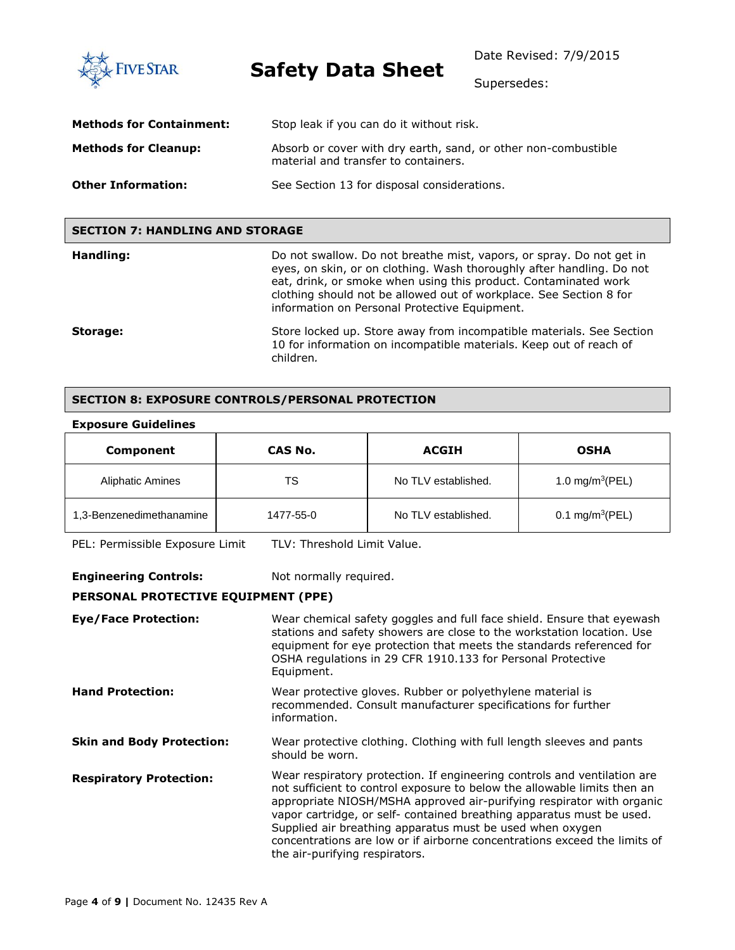**FIVE STAR** 

**Safety Data Sheet**

Date Revised: 7/9/2015

Supersedes:

| <b>Methods for Containment:</b> | Stop leak if you can do it without risk.                                                               |
|---------------------------------|--------------------------------------------------------------------------------------------------------|
| <b>Methods for Cleanup:</b>     | Absorb or cover with dry earth, sand, or other non-combustible<br>material and transfer to containers. |
| <b>Other Information:</b>       | See Section 13 for disposal considerations.                                                            |

### **SECTION 7: HANDLING AND STORAGE**

| Handling: | Do not swallow. Do not breathe mist, vapors, or spray. Do not get in<br>eyes, on skin, or on clothing. Wash thoroughly after handling. Do not<br>eat, drink, or smoke when using this product. Contaminated work<br>clothing should not be allowed out of workplace. See Section 8 for<br>information on Personal Protective Equipment. |
|-----------|-----------------------------------------------------------------------------------------------------------------------------------------------------------------------------------------------------------------------------------------------------------------------------------------------------------------------------------------|
| Storage:  | Store locked up. Store away from incompatible materials. See Section<br>10 for information on incompatible materials. Keep out of reach of<br>children.                                                                                                                                                                                 |

### **SECTION 8: EXPOSURE CONTROLS/PERSONAL PROTECTION**

#### **Exposure Guidelines**

| Component                | CAS No.   | <b>ACGIH</b>        | <b>OSHA</b>                 |
|--------------------------|-----------|---------------------|-----------------------------|
| <b>Aliphatic Amines</b>  | TS        | No TLV established. | 1.0 mg/m <sup>3</sup> (PEL) |
| 1,3-Benzenedimethanamine | 1477-55-0 | No TLV established. | 0.1 mg/m <sup>3</sup> (PEL) |

PEL: Permissible Exposure Limit TLV: Threshold Limit Value.

**Engineering Controls:** Not normally required.

### **PERSONAL PROTECTIVE EQUIPMENT (PPE)**

| <b>Eye/Face Protection:</b>      | Wear chemical safety goggles and full face shield. Ensure that eyewash<br>stations and safety showers are close to the workstation location. Use<br>equipment for eye protection that meets the standards referenced for<br>OSHA regulations in 29 CFR 1910.133 for Personal Protective<br>Equipment.                                                                                                                                                                              |
|----------------------------------|------------------------------------------------------------------------------------------------------------------------------------------------------------------------------------------------------------------------------------------------------------------------------------------------------------------------------------------------------------------------------------------------------------------------------------------------------------------------------------|
| <b>Hand Protection:</b>          | Wear protective gloves. Rubber or polyethylene material is<br>recommended. Consult manufacturer specifications for further<br>information.                                                                                                                                                                                                                                                                                                                                         |
| <b>Skin and Body Protection:</b> | Wear protective clothing. Clothing with full length sleeves and pants<br>should be worn.                                                                                                                                                                                                                                                                                                                                                                                           |
| <b>Respiratory Protection:</b>   | Wear respiratory protection. If engineering controls and ventilation are<br>not sufficient to control exposure to below the allowable limits then an<br>appropriate NIOSH/MSHA approved air-purifying respirator with organic<br>vapor cartridge, or self- contained breathing apparatus must be used.<br>Supplied air breathing apparatus must be used when oxygen<br>concentrations are low or if airborne concentrations exceed the limits of<br>the air-purifying respirators. |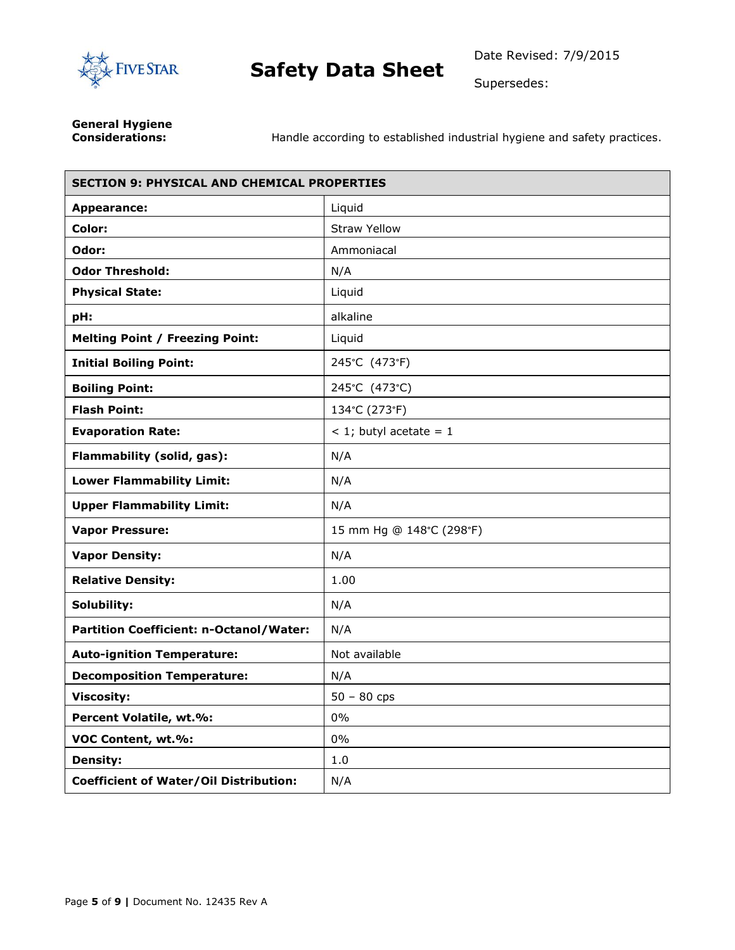

Supersedes:

**General Hygiene** 

**Considerations:** Handle according to established industrial hygiene and safety practices.

| <b>SECTION 9: PHYSICAL AND CHEMICAL PROPERTIES</b> |                          |  |
|----------------------------------------------------|--------------------------|--|
| Appearance:                                        | Liquid                   |  |
| Color:                                             | <b>Straw Yellow</b>      |  |
| Odor:                                              | Ammoniacal               |  |
| <b>Odor Threshold:</b>                             | N/A                      |  |
| <b>Physical State:</b>                             | Liquid                   |  |
| pH:                                                | alkaline                 |  |
| <b>Melting Point / Freezing Point:</b>             | Liquid                   |  |
| <b>Initial Boiling Point:</b>                      | 245°C (473°F)            |  |
| <b>Boiling Point:</b>                              | 245°C (473°C)            |  |
| <b>Flash Point:</b>                                | 134°C (273°F)            |  |
| <b>Evaporation Rate:</b>                           | $<$ 1; butyl acetate = 1 |  |
| Flammability (solid, gas):                         | N/A                      |  |
| <b>Lower Flammability Limit:</b>                   | N/A                      |  |
| <b>Upper Flammability Limit:</b>                   | N/A                      |  |
| <b>Vapor Pressure:</b>                             | 15 mm Hg @ 148°C (298°F) |  |
| <b>Vapor Density:</b>                              | N/A                      |  |
| <b>Relative Density:</b>                           | 1.00                     |  |
| Solubility:                                        | N/A                      |  |
| <b>Partition Coefficient: n-Octanol/Water:</b>     | N/A                      |  |
| <b>Auto-ignition Temperature:</b>                  | Not available            |  |
| <b>Decomposition Temperature:</b>                  | N/A                      |  |
| <b>Viscosity:</b>                                  | $50 - 80$ cps            |  |
| Percent Volatile, wt.%:                            | 0%                       |  |
| VOC Content, wt.%:                                 | $0\%$                    |  |
| <b>Density:</b>                                    | 1.0                      |  |
| <b>Coefficient of Water/Oil Distribution:</b>      | N/A                      |  |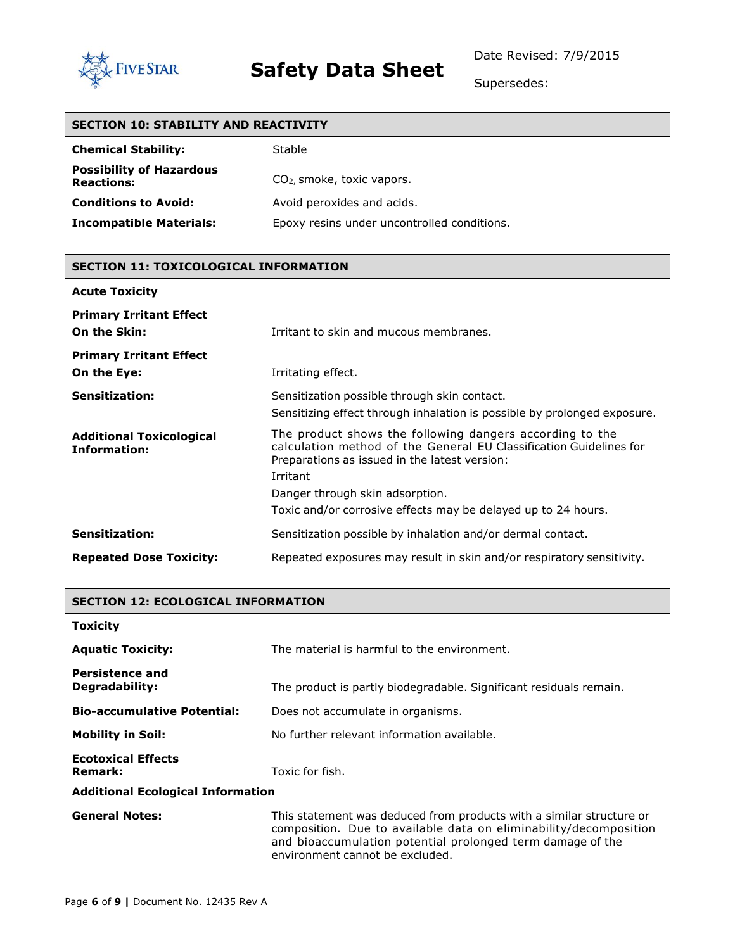

Date Revised: 7/9/2015

Supersedes:

| <b>SECTION 10: STABILITY AND REACTIVITY</b> |  |  |
|---------------------------------------------|--|--|
| <b>Stable</b>                               |  |  |
| $CO2$ , smoke, toxic vapors.                |  |  |
| Avoid peroxides and acids.                  |  |  |
| Epoxy resins under uncontrolled conditions. |  |  |
|                                             |  |  |

#### **SECTION 11: TOXICOLOGICAL INFORMATION**

| <b>Acute Toxicity</b>                                  |                                                                                                                                                                                             |
|--------------------------------------------------------|---------------------------------------------------------------------------------------------------------------------------------------------------------------------------------------------|
| <b>Primary Irritant Effect</b><br>On the Skin:         | Irritant to skin and mucous membranes.                                                                                                                                                      |
| <b>Primary Irritant Effect</b><br>On the Eye:          | Irritating effect.                                                                                                                                                                          |
| <b>Sensitization:</b>                                  | Sensitization possible through skin contact.<br>Sensitizing effect through inhalation is possible by prolonged exposure.                                                                    |
| <b>Additional Toxicological</b><br><b>Information:</b> | The product shows the following dangers according to the<br>calculation method of the General EU Classification Guidelines for<br>Preparations as issued in the latest version:<br>Irritant |
|                                                        | Danger through skin adsorption.                                                                                                                                                             |
|                                                        | Toxic and/or corrosive effects may be delayed up to 24 hours.                                                                                                                               |
| <b>Sensitization:</b>                                  | Sensitization possible by inhalation and/or dermal contact.                                                                                                                                 |
| <b>Repeated Dose Toxicity:</b>                         | Repeated exposures may result in skin and/or respiratory sensitivity.                                                                                                                       |

### **SECTION 12: ECOLOGICAL INFORMATION**

#### **Toxicity**

| <b>Aquatic Toxicity:</b>                    | The material is harmful to the environment.                                                                                               |  |
|---------------------------------------------|-------------------------------------------------------------------------------------------------------------------------------------------|--|
| <b>Persistence and</b><br>Degradability:    | The product is partly biodegradable. Significant residuals remain.                                                                        |  |
| <b>Bio-accumulative Potential:</b>          | Does not accumulate in organisms.                                                                                                         |  |
| <b>Mobility in Soil:</b>                    | No further relevant information available.                                                                                                |  |
| <b>Ecotoxical Effects</b><br><b>Remark:</b> | Toxic for fish.                                                                                                                           |  |
| <b>Additional Ecological Information</b>    |                                                                                                                                           |  |
| <b>General Notes:</b>                       | This statement was deduced from products with a similar structure or<br>composition. Due to available data on eliminability/decomposition |  |

environment cannot be excluded.

and bioaccumulation potential prolonged term damage of the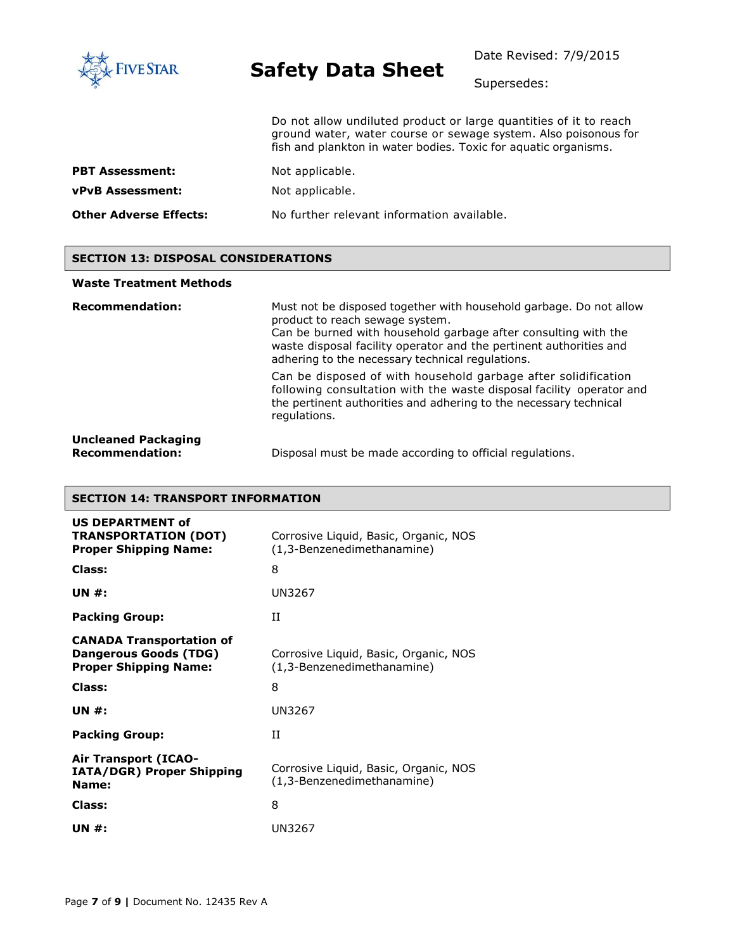

Date Revised: 7/9/2015

Supersedes:

Do not allow undiluted product or large quantities of it to reach ground water, water course or sewage system. Also poisonous for fish and plankton in water bodies. Toxic for aquatic organisms.

| <b>PBT Assessment:</b>  | Not applicable. |
|-------------------------|-----------------|
| <b>vPvB Assessment:</b> | Not applicable. |

**Other Adverse Effects:** No further relevant information available.

### **SECTION 13: DISPOSAL CONSIDERATIONS**

#### **Waste Treatment Methods**

| <b>Recommendation:</b>                               | Must not be disposed together with household garbage. Do not allow<br>product to reach sewage system.<br>Can be burned with household garbage after consulting with the<br>waste disposal facility operator and the pertinent authorities and<br>adhering to the necessary technical regulations. |
|------------------------------------------------------|---------------------------------------------------------------------------------------------------------------------------------------------------------------------------------------------------------------------------------------------------------------------------------------------------|
|                                                      | Can be disposed of with household garbage after solidification<br>following consultation with the waste disposal facility operator and<br>the pertinent authorities and adhering to the necessary technical<br>regulations.                                                                       |
| <b>Uncleaned Packaging</b><br><b>Recommendation:</b> | Disposal must be made according to official regulations.                                                                                                                                                                                                                                          |

### **SECTION 14: TRANSPORT INFORMATION**

| <b>US DEPARTMENT of</b><br><b>TRANSPORTATION (DOT)</b><br><b>Proper Shipping Name:</b>          | Corrosive Liquid, Basic, Organic, NOS<br>(1,3-Benzenedimethanamine) |
|-------------------------------------------------------------------------------------------------|---------------------------------------------------------------------|
| Class:                                                                                          | 8                                                                   |
| UN $#$ :                                                                                        | UN3267                                                              |
| <b>Packing Group:</b>                                                                           | TΤ                                                                  |
| <b>CANADA Transportation of</b><br><b>Dangerous Goods (TDG)</b><br><b>Proper Shipping Name:</b> | Corrosive Liquid, Basic, Organic, NOS<br>(1,3-Benzenedimethanamine) |
| Class:                                                                                          | 8                                                                   |
| UN $#$ :                                                                                        | UN3267                                                              |
| <b>Packing Group:</b>                                                                           | TΤ                                                                  |
| <b>Air Transport (ICAO-</b><br>IATA/DGR) Proper Shipping<br>Name:                               | Corrosive Liquid, Basic, Organic, NOS<br>(1,3-Benzenedimethanamine) |
| Class:                                                                                          | 8                                                                   |
| UN #:                                                                                           | UN3267                                                              |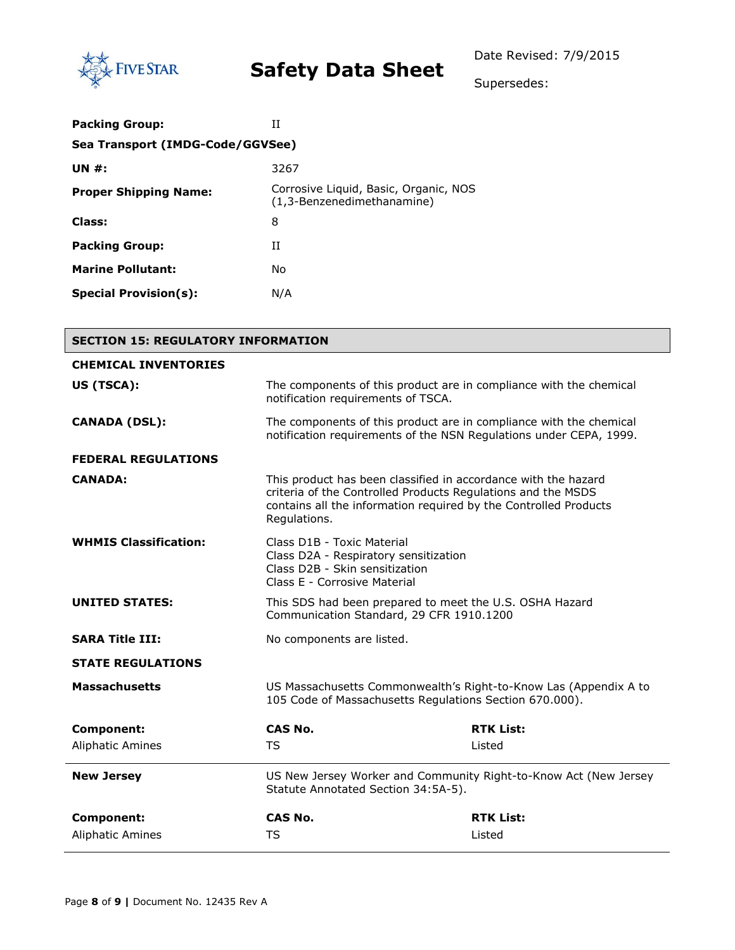

Supersedes:

| <b>Packing Group:</b>            | TΤ                                                                  |  |
|----------------------------------|---------------------------------------------------------------------|--|
| Sea Transport (IMDG-Code/GGVSee) |                                                                     |  |
| UN $#$ :                         | 3267                                                                |  |
| <b>Proper Shipping Name:</b>     | Corrosive Liquid, Basic, Organic, NOS<br>(1,3-Benzenedimethanamine) |  |
| Class:                           | 8                                                                   |  |
| <b>Packing Group:</b>            | Н                                                                   |  |
| <b>Marine Pollutant:</b>         | No                                                                  |  |
| <b>Special Provision(s):</b>     | N/A                                                                 |  |

| <b>SECTION 15: REGULATORY INFORMATION</b> |                                                                                                                                                                                                                    |                  |  |
|-------------------------------------------|--------------------------------------------------------------------------------------------------------------------------------------------------------------------------------------------------------------------|------------------|--|
| <b>CHEMICAL INVENTORIES</b>               |                                                                                                                                                                                                                    |                  |  |
| US (TSCA):                                | The components of this product are in compliance with the chemical<br>notification requirements of TSCA.                                                                                                           |                  |  |
| <b>CANADA (DSL):</b>                      | The components of this product are in compliance with the chemical<br>notification requirements of the NSN Regulations under CEPA, 1999.                                                                           |                  |  |
| <b>FEDERAL REGULATIONS</b>                |                                                                                                                                                                                                                    |                  |  |
| <b>CANADA:</b>                            | This product has been classified in accordance with the hazard<br>criteria of the Controlled Products Regulations and the MSDS<br>contains all the information required by the Controlled Products<br>Regulations. |                  |  |
| <b>WHMIS Classification:</b>              | Class D1B - Toxic Material<br>Class D2A - Respiratory sensitization<br>Class D2B - Skin sensitization<br>Class E - Corrosive Material                                                                              |                  |  |
| <b>UNITED STATES:</b>                     | This SDS had been prepared to meet the U.S. OSHA Hazard<br>Communication Standard, 29 CFR 1910.1200                                                                                                                |                  |  |
| <b>SARA Title III:</b>                    | No components are listed.                                                                                                                                                                                          |                  |  |
| <b>STATE REGULATIONS</b>                  |                                                                                                                                                                                                                    |                  |  |
| <b>Massachusetts</b>                      | US Massachusetts Commonwealth's Right-to-Know Las (Appendix A to<br>105 Code of Massachusetts Regulations Section 670.000).                                                                                        |                  |  |
| <b>Component:</b>                         | CAS No.                                                                                                                                                                                                            | <b>RTK List:</b> |  |
| <b>Aliphatic Amines</b>                   | <b>TS</b>                                                                                                                                                                                                          | Listed           |  |
| <b>New Jersey</b>                         | US New Jersey Worker and Community Right-to-Know Act (New Jersey<br>Statute Annotated Section 34:5A-5).                                                                                                            |                  |  |
| Component:                                | CAS No.                                                                                                                                                                                                            | <b>RTK List:</b> |  |
| <b>Aliphatic Amines</b>                   | <b>TS</b>                                                                                                                                                                                                          | Listed           |  |